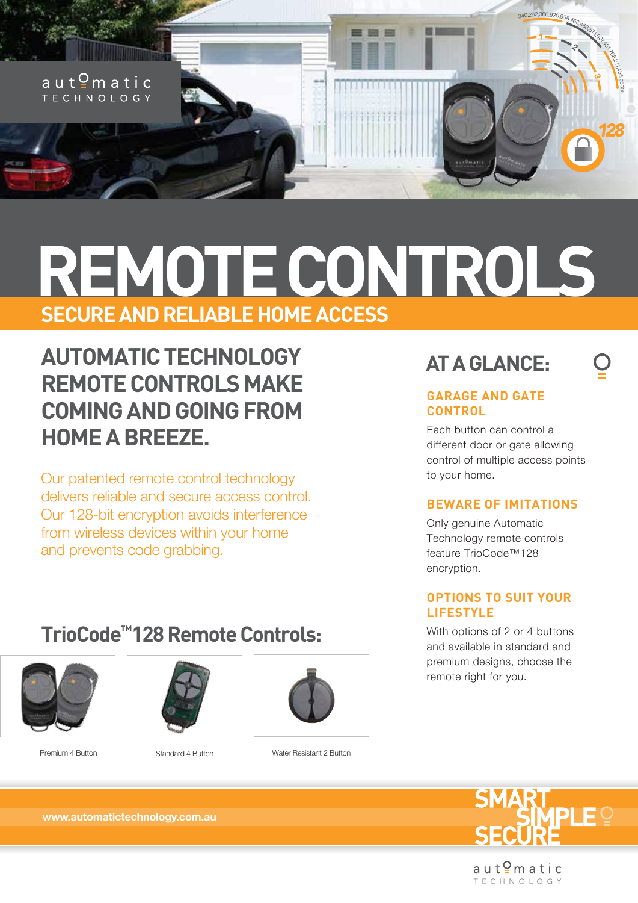

# **REMOTE CONTROLS SECURE AND RELIABLE HOME ACCESS**

# **AUTOMATIC TECHNOLOGY REMOTE CONTROLS MAKE COMING AND GOING FROM HOME A BREEZE.**

Our patented remote control technology delivers reliable and secure access control. Our 128-bit encryption avoids interference from wireless devices within your home and prevents code grabbing.

# **TrioCode™128 Remote Controls:**







Standard 4 Button

Premium 4 Button Water Resistant 2 Button

## **AT A GLANCE:**

### **GARAGE AND GATE CONTROL**

Each button can control a different door or gate allowing control of multiple access points to your home.

## **BEWARE OF IMITATIONS**

Only genuine Automatic Technology remote controls feature TrioCode™128 encryption.

## **OPTIONS TO SUIT YOUR LIFESTYLE**

With options of 2 or 4 buttons and available in standard and premium designs, choose the remote right for you.



aut<sup>o</sup>matic **TECHNOLOGY** 

**www.automatictechnology.com.au**